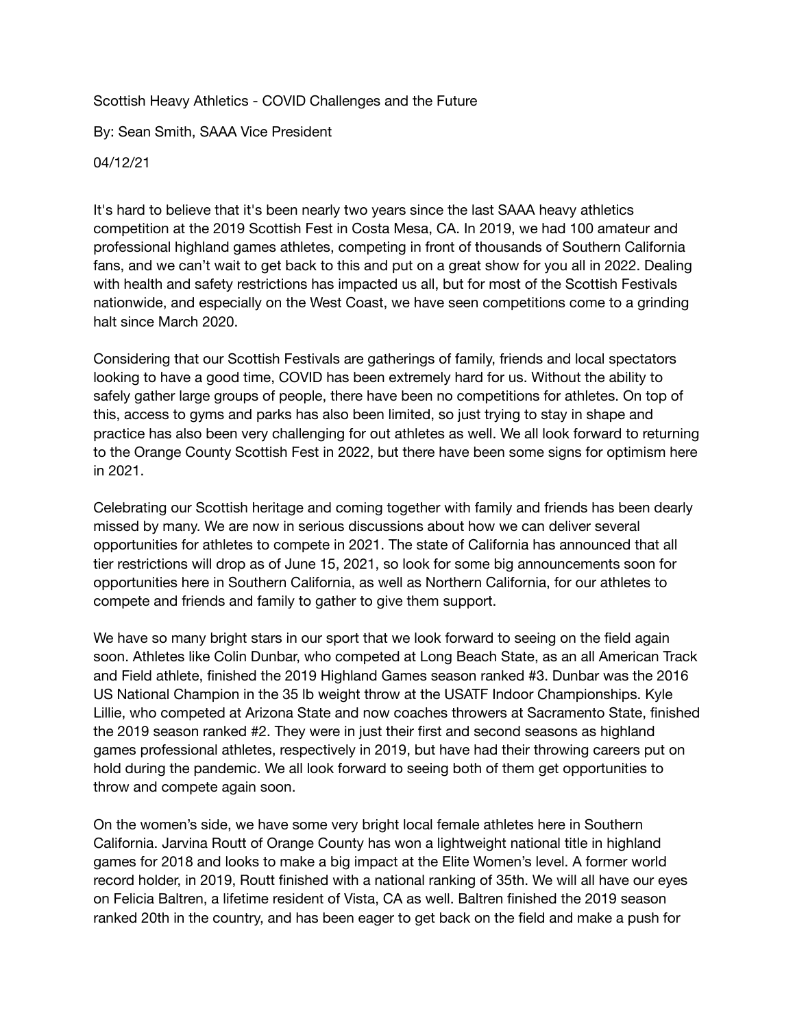## Scottish Heavy Athletics - COVID Challenges and the Future

By: Sean Smith, SAAA Vice President

04/12/21

It's hard to believe that it's been nearly two years since the last SAAA heavy athletics competition at the 2019 Scottish Fest in Costa Mesa, CA. In 2019, we had 100 amateur and professional highland games athletes, competing in front of thousands of Southern California fans, and we can't wait to get back to this and put on a great show for you all in 2022. Dealing with health and safety restrictions has impacted us all, but for most of the Scottish Festivals nationwide, and especially on the West Coast, we have seen competitions come to a grinding halt since March 2020.

Considering that our Scottish Festivals are gatherings of family, friends and local spectators looking to have a good time, COVID has been extremely hard for us. Without the ability to safely gather large groups of people, there have been no competitions for athletes. On top of this, access to gyms and parks has also been limited, so just trying to stay in shape and practice has also been very challenging for out athletes as well. We all look forward to returning to the Orange County Scottish Fest in 2022, but there have been some signs for optimism here in 2021.

Celebrating our Scottish heritage and coming together with family and friends has been dearly missed by many. We are now in serious discussions about how we can deliver several opportunities for athletes to compete in 2021. The state of California has announced that all tier restrictions will drop as of June 15, 2021, so look for some big announcements soon for opportunities here in Southern California, as well as Northern California, for our athletes to compete and friends and family to gather to give them support.

We have so many bright stars in our sport that we look forward to seeing on the field again soon. Athletes like Colin Dunbar, who competed at Long Beach State, as an all American Track and Field athlete, finished the 2019 Highland Games season ranked #3. Dunbar was the 2016 US National Champion in the 35 lb weight throw at the USATF Indoor Championships. Kyle Lillie, who competed at Arizona State and now coaches throwers at Sacramento State, finished the 2019 season ranked #2. They were in just their first and second seasons as highland games professional athletes, respectively in 2019, but have had their throwing careers put on hold during the pandemic. We all look forward to seeing both of them get opportunities to throw and compete again soon.

On the women's side, we have some very bright local female athletes here in Southern California. Jarvina Routt of Orange County has won a lightweight national title in highland games for 2018 and looks to make a big impact at the Elite Women's level. A former world record holder, in 2019, Routt finished with a national ranking of 35th. We will all have our eyes on Felicia Baltren, a lifetime resident of Vista, CA as well. Baltren finished the 2019 season ranked 20th in the country, and has been eager to get back on the field and make a push for